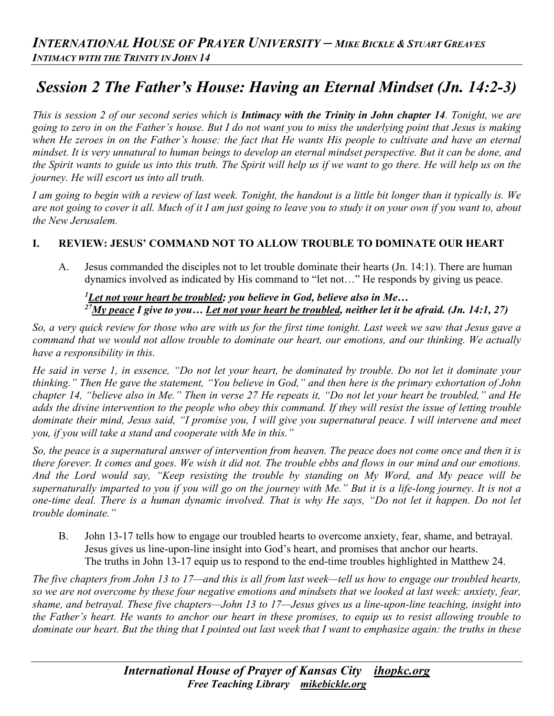# *Session 2 The Father's House: Having an Eternal Mindset (Jn. 14:2-3)*

*This is session 2 of our second series which is Intimacy with the Trinity in John chapter 14. Tonight, we are going to zero in on the Father's house. But I do not want you to miss the underlying point that Jesus is making when He zeroes in on the Father's house: the fact that He wants His people to cultivate and have an eternal mindset. It is very unnatural to human beings to develop an eternal mindset perspective. But it can be done, and the Spirit wants to guide us into this truth. The Spirit will help us if we want to go there. He will help us on the journey. He will escort us into all truth.* 

*I am going to begin with a review of last week. Tonight, the handout is a little bit longer than it typically is. We are not going to cover it all. Much of it I am just going to leave you to study it on your own if you want to, about the New Jerusalem.* 

## **I. REVIEW: JESUS' COMMAND NOT TO ALLOW TROUBLE TO DOMINATE OUR HEART**

A. Jesus commanded the disciples not to let trouble dominate their hearts (Jn. 14:1). There are human dynamics involved as indicated by His command to "let not…" He responds by giving us peace.

## *1 Let not your heart be troubled; you believe in God, believe also in Me… 27My peace I give to you… Let not your heart be troubled, neither let it be afraid. (Jn. 14:1, 27)*

*So, a very quick review for those who are with us for the first time tonight. Last week we saw that Jesus gave a command that we would not allow trouble to dominate our heart, our emotions, and our thinking. We actually have a responsibility in this.* 

*He said in verse 1, in essence, "Do not let your heart, be dominated by trouble. Do not let it dominate your thinking." Then He gave the statement, "You believe in God," and then here is the primary exhortation of John chapter 14, "believe also in Me." Then in verse 27 He repeats it, "Do not let your heart be troubled," and He adds the divine intervention to the people who obey this command. If they will resist the issue of letting trouble*  dominate their mind, Jesus said, "I promise you, I will give you supernatural peace. I will intervene and meet *you, if you will take a stand and cooperate with Me in this."*

*So, the peace is a supernatural answer of intervention from heaven. The peace does not come once and then it is there forever. It comes and goes. We wish it did not. The trouble ebbs and flows in our mind and our emotions. And the Lord would say, "Keep resisting the trouble by standing on My Word, and My peace will be supernaturally imparted to you if you will go on the journey with Me." But it is a life-long journey. It is not a one-time deal. There is a human dynamic involved. That is why He says, "Do not let it happen. Do not let trouble dominate."*

B. John 13-17 tells how to engage our troubled hearts to overcome anxiety, fear, shame, and betrayal. Jesus gives us line-upon-line insight into God's heart, and promises that anchor our hearts. The truths in John 13-17 equip us to respond to the end-time troubles highlighted in Matthew 24.

*The five chapters from John 13 to 17—and this is all from last week—tell us how to engage our troubled hearts, so we are not overcome by these four negative emotions and mindsets that we looked at last week: anxiety, fear, shame, and betrayal. These five chapters—John 13 to 17—Jesus gives us a line-upon-line teaching, insight into the Father's heart. He wants to anchor our heart in these promises, to equip us to resist allowing trouble to dominate our heart. But the thing that I pointed out last week that I want to emphasize again: the truths in these*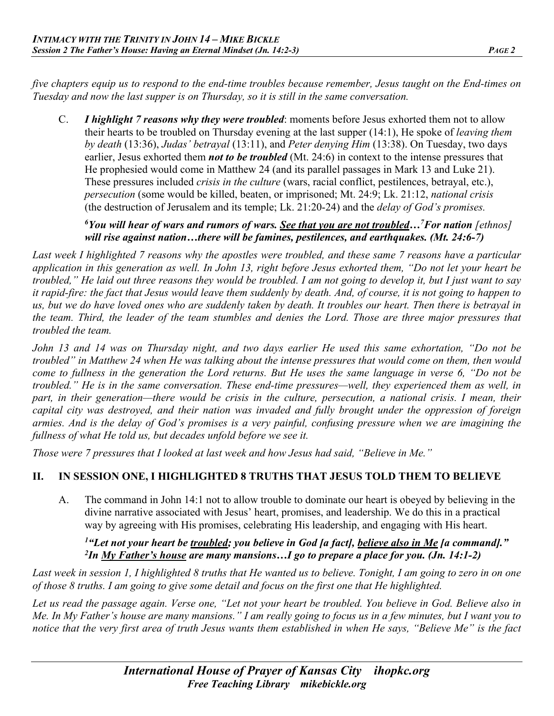*five chapters equip us to respond to the end-time troubles because remember, Jesus taught on the End-times on Tuesday and now the last supper is on Thursday, so it is still in the same conversation.*

C. *I highlight 7 reasons why they were troubled*: moments before Jesus exhorted them not to allow their hearts to be troubled on Thursday evening at the last supper (14:1), He spoke of *leaving them by death* (13:36), *Judas' betrayal* (13:11), and *Peter denying Him* (13:38). On Tuesday, two days earlier, Jesus exhorted them *not to be troubled* (Mt. 24:6) in context to the intense pressures that He prophesied would come in Matthew 24 (and its parallel passages in Mark 13 and Luke 21). These pressures included *crisis in the culture* (wars, racial conflict, pestilences, betrayal, etc.), *persecution* (some would be killed, beaten, or imprisoned; Mt. 24:9; Lk. 21:12, *national crisis*  (the destruction of Jerusalem and its temple; Lk. 21:20-24) and the *delay of God's promises.*

## *6 You will hear of wars and rumors of wars. See that you are not troubled…7 For nation [ethnos] will rise against nation…there will be famines, pestilences, and earthquakes. (Mt. 24:6-7)*

*Last week I highlighted 7 reasons why the apostles were troubled, and these same 7 reasons have a particular application in this generation as well. In John 13, right before Jesus exhorted them, "Do not let your heart be troubled," He laid out three reasons they would be troubled. I am not going to develop it, but I just want to say it rapid-fire: the fact that Jesus would leave them suddenly by death. And, of course, it is not going to happen to us, but we do have loved ones who are suddenly taken by death. It troubles our heart. Then there is betrayal in the team. Third, the leader of the team stumbles and denies the Lord. Those are three major pressures that troubled the team.* 

*John 13 and 14 was on Thursday night, and two days earlier He used this same exhortation, "Do not be troubled" in Matthew 24 when He was talking about the intense pressures that would come on them, then would come to fullness in the generation the Lord returns. But He uses the same language in verse 6, "Do not be troubled." He is in the same conversation. These end-time pressures—well, they experienced them as well, in part, in their generation—there would be crisis in the culture, persecution, a national crisis. I mean, their capital city was destroyed, and their nation was invaded and fully brought under the oppression of foreign armies. And is the delay of God's promises is a very painful, confusing pressure when we are imagining the fullness of what He told us, but decades unfold before we see it.*

*Those were 7 pressures that I looked at last week and how Jesus had said, "Believe in Me."*

## **II. IN SESSION ONE, I HIGHLIGHTED 8 TRUTHS THAT JESUS TOLD THEM TO BELIEVE**

A. The command in John 14:1 not to allow trouble to dominate our heart is obeyed by believing in the divine narrative associated with Jesus' heart, promises, and leadership. We do this in a practical way by agreeing with His promises, celebrating His leadership, and engaging with His heart.

*1 "Let not your heart be troubled; you believe in God [a fact], believe also in Me [a command]." 2 In My Father's house are many mansions…I go to prepare a place for you. (Jn. 14:1-2)*

*Last week in session 1, I highlighted 8 truths that He wanted us to believe. Tonight, I am going to zero in on one of those 8 truths. I am going to give some detail and focus on the first one that He highlighted.* 

*Let us read the passage again. Verse one, "Let not your heart be troubled. You believe in God. Believe also in Me. In My Father's house are many mansions." I am really going to focus us in a few minutes, but I want you to notice that the very first area of truth Jesus wants them established in when He says, "Believe Me" is the fact*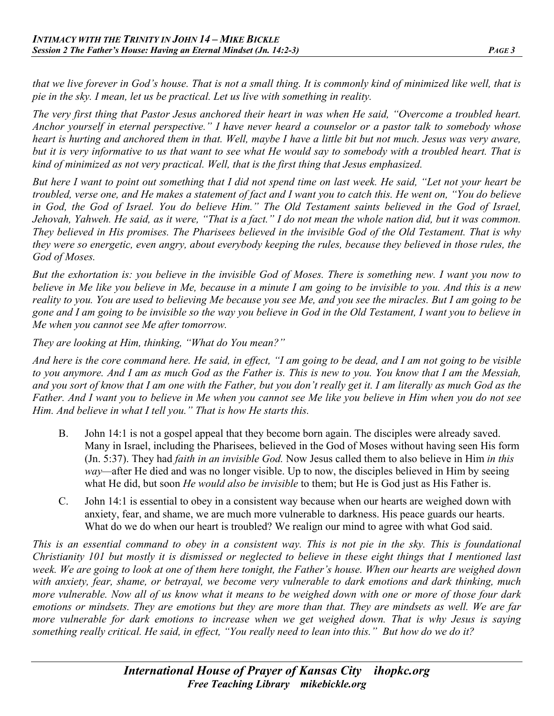*that we live forever in God's house. That is not a small thing. It is commonly kind of minimized like well, that is pie in the sky. I mean, let us be practical. Let us live with something in reality.* 

*The very first thing that Pastor Jesus anchored their heart in was when He said, "Overcome a troubled heart. Anchor yourself in eternal perspective." I have never heard a counselor or a pastor talk to somebody whose heart is hurting and anchored them in that. Well, maybe I have a little bit but not much. Jesus was very aware, but it is very informative to us that want to see what He would say to somebody with a troubled heart. That is kind of minimized as not very practical. Well, that is the first thing that Jesus emphasized.* 

*But here I want to point out something that I did not spend time on last week. He said, "Let not your heart be troubled, verse one, and He makes a statement of fact and I want you to catch this. He went on, "You do believe in God, the God of Israel. You do believe Him." The Old Testament saints believed in the God of Israel, Jehovah, Yahweh. He said, as it were, "That is a fact." I do not mean the whole nation did, but it was common. They believed in His promises. The Pharisees believed in the invisible God of the Old Testament. That is why they were so energetic, even angry, about everybody keeping the rules, because they believed in those rules, the God of Moses.*

*But the exhortation is: you believe in the invisible God of Moses. There is something new. I want you now to believe in Me like you believe in Me, because in a minute I am going to be invisible to you. And this is a new reality to you. You are used to believing Me because you see Me, and you see the miracles. But I am going to be gone and I am going to be invisible so the way you believe in God in the Old Testament, I want you to believe in Me when you cannot see Me after tomorrow.* 

*They are looking at Him, thinking, "What do You mean?"*

*And here is the core command here. He said, in effect, "I am going to be dead, and I am not going to be visible to you anymore. And I am as much God as the Father is. This is new to you. You know that I am the Messiah, and you sort of know that I am one with the Father, but you don't really get it. I am literally as much God as the Father. And I want you to believe in Me when you cannot see Me like you believe in Him when you do not see Him. And believe in what I tell you." That is how He starts this.*

- B. John 14:1 is not a gospel appeal that they become born again. The disciples were already saved. Many in Israel, including the Pharisees, believed in the God of Moses without having seen His form (Jn. 5:37). They had *faith in an invisible God.* Now Jesus called them to also believe in Him *in this way—*after He died and was no longer visible. Up to now, the disciples believed in Him by seeing what He did, but soon *He would also be invisible* to them; but He is God just as His Father is.
- C. John 14:1 is essential to obey in a consistent way because when our hearts are weighed down with anxiety, fear, and shame, we are much more vulnerable to darkness. His peace guards our hearts. What do we do when our heart is troubled? We realign our mind to agree with what God said.

*This is an essential command to obey in a consistent way. This is not pie in the sky. This is foundational Christianity 101 but mostly it is dismissed or neglected to believe in these eight things that I mentioned last week. We are going to look at one of them here tonight, the Father's house. When our hearts are weighed down with anxiety, fear, shame, or betrayal, we become very vulnerable to dark emotions and dark thinking, much more vulnerable. Now all of us know what it means to be weighed down with one or more of those four dark emotions or mindsets. They are emotions but they are more than that. They are mindsets as well. We are far more vulnerable for dark emotions to increase when we get weighed down. That is why Jesus is saying something really critical. He said, in effect, "You really need to lean into this." But how do we do it?*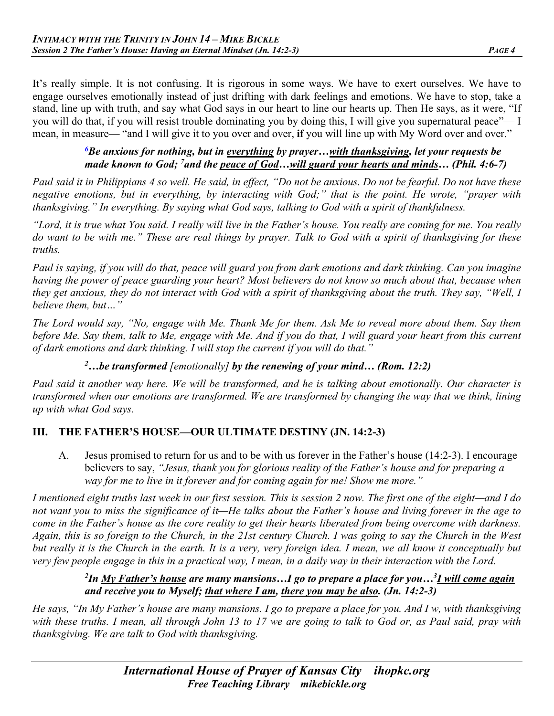It's really simple. It is not confusing. It is rigorous in some ways. We have to exert ourselves. We have to engage ourselves emotionally instead of just drifting with dark feelings and emotions. We have to stop, take a stand, line up with truth, and say what God says in our heart to line our hearts up. Then He says, as it were, "If you will do that, if you will resist trouble dominating you by doing this, I will give you supernatural peace"— I mean, in measure— "and I will give it to you over and over, **if** you will line up with My Word over and over."

#### *6 Be anxious for nothing, but in everything by prayer…with thanksgiving, let your requests be*  made known to God; <sup>7</sup>and the <u>peace of God…will guard your hearts and minds</u>… (Phil. 4:6-7)

*Paul said it in Philippians 4 so well. He said, in effect, "Do not be anxious. Do not be fearful. Do not have these negative emotions, but in everything, by interacting with God;" that is the point. He wrote, "prayer with thanksgiving." In everything. By saying what God says, talking to God with a spirit of thankfulness.* 

*"Lord, it is true what You said. I really will live in the Father's house. You really are coming for me. You really do want to be with me." These are real things by prayer. Talk to God with a spirit of thanksgiving for these truths.* 

*Paul is saying, if you will do that, peace will guard you from dark emotions and dark thinking. Can you imagine having the power of peace guarding your heart? Most believers do not know so much about that, because when they get anxious, they do not interact with God with a spirit of thanksgiving about the truth. They say, "Well, I believe them, but…"* 

*The Lord would say, "No, engage with Me. Thank Me for them. Ask Me to reveal more about them. Say them before Me. Say them, talk to Me, engage with Me. And if you do that, I will guard your heart from this current of dark emotions and dark thinking. I will stop the current if you will do that."*

# <sup>2</sup>...be transformed [emotionally] by the renewing of your mind... (Rom. 12:2)

*Paul said it another way here. We will be transformed, and he is talking about emotionally. Our character is transformed when our emotions are transformed. We are transformed by changing the way that we think, lining up with what God says.*

# **III. THE FATHER'S HOUSE—OUR ULTIMATE DESTINY (JN. 14:2-3)**

A. Jesus promised to return for us and to be with us forever in the Father's house (14:2-3). I encourage believers to say, *"Jesus, thank you for glorious reality of the Father's house and for preparing a way for me to live in it forever and for coming again for me! Show me more."*

*I mentioned eight truths last week in our first session. This is session 2 now. The first one of the eight—and I do not want you to miss the significance of it—He talks about the Father's house and living forever in the age to come in the Father's house as the core reality to get their hearts liberated from being overcome with darkness. Again, this is so foreign to the Church, in the 21st century Church. I was going to say the Church in the West but really it is the Church in the earth. It is a very, very foreign idea. I mean, we all know it conceptually but very few people engage in this in a practical way, I mean, in a daily way in their interaction with the Lord.*

## *2 In My Father's house are many mansions…I go to prepare a place for you…3 I will come again and receive you to Myself; that where I am, there you may be also. (Jn. 14:2-3)*

*He says, "In My Father's house are many mansions. I go to prepare a place for you. And I w, with thanksgiving with these truths. I mean, all through John 13 to 17 we are going to talk to God or, as Paul said, pray with thanksgiving. We are talk to God with thanksgiving.*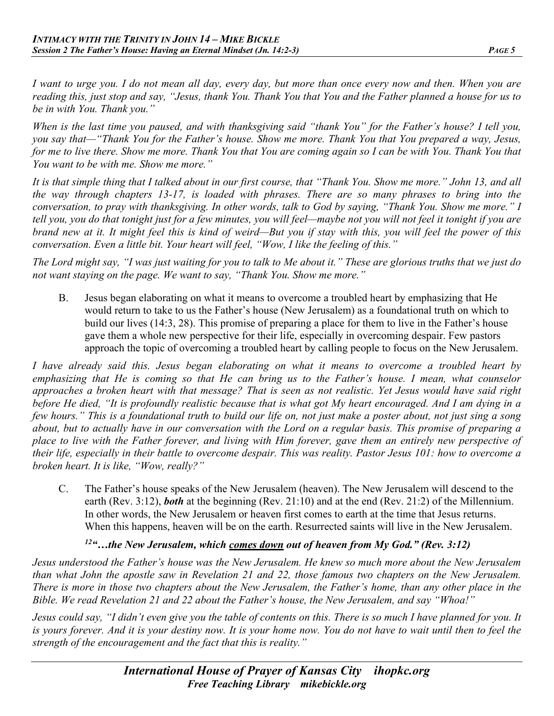*I want to urge you. I do not mean all day, every day, but more than once every now and then. When you are reading this, just stop and say, "Jesus, thank You. Thank You that You and the Father planned a house for us to be in with You. Thank you."* 

*When is the last time you paused, and with thanksgiving said "thank You" for the Father's house? I tell you, you say that—"Thank You for the Father's house. Show me more. Thank You that You prepared a way, Jesus, for me to live there. Show me more. Thank You that You are coming again so I can be with You. Thank You that You want to be with me. Show me more."*

*It is that simple thing that I talked about in our first course, that "Thank You. Show me more." John 13, and all the way through chapters 13-17, is loaded with phrases. There are so many phrases to bring into the conversation, to pray with thanksgiving. In other words, talk to God by saying, "Thank You. Show me more." I tell you, you do that tonight just for a few minutes, you will feel—maybe not you will not feel it tonight if you are brand new at it. It might feel this is kind of weird—But you if stay with this, you will feel the power of this conversation. Even a little bit. Your heart will feel, "Wow, I like the feeling of this."*

*The Lord might say, "I was just waiting for you to talk to Me about it." These are glorious truths that we just do not want staying on the page. We want to say, "Thank You. Show me more."* 

B. Jesus began elaborating on what it means to overcome a troubled heart by emphasizing that He would return to take to us the Father's house (New Jerusalem) as a foundational truth on which to build our lives (14:3, 28). This promise of preparing a place for them to live in the Father's house gave them a whole new perspective for their life, especially in overcoming despair. Few pastors approach the topic of overcoming a troubled heart by calling people to focus on the New Jerusalem.

*I have already said this. Jesus began elaborating on what it means to overcome a troubled heart by emphasizing that He is coming so that He can bring us to the Father's house. I mean, what counselor approaches a broken heart with that message? That is seen as not realistic. Yet Jesus would have said right before He died, "It is profoundly realistic because that is what got My heart encouraged. And I am dying in a few hours." This is a foundational truth to build our life on, not just make a poster about, not just sing a song about, but to actually have in our conversation with the Lord on a regular basis. This promise of preparing a place to live with the Father forever, and living with Him forever, gave them an entirely new perspective of their life, especially in their battle to overcome despair. This was reality. Pastor Jesus 101: how to overcome a broken heart. It is like, "Wow, really?"*

C. The Father's house speaks of the New Jerusalem (heaven). The New Jerusalem will descend to the earth (Rev. 3:12), *both* at the beginning (Rev. 21:10) and at the end (Rev. 21:2) of the Millennium. In other words, the New Jerusalem or heaven first comes to earth at the time that Jesus returns. When this happens, heaven will be on the earth. Resurrected saints will live in the New Jerusalem.

*12"…the New Jerusalem, which comes down out of heaven from My God." (Rev. 3:12)*

*Jesus understood the Father's house was the New Jerusalem. He knew so much more about the New Jerusalem than what John the apostle saw in Revelation 21 and 22, those famous two chapters on the New Jerusalem. There is more in those two chapters about the New Jerusalem, the Father's home, than any other place in the Bible. We read Revelation 21 and 22 about the Father's house, the New Jerusalem, and say "Whoa!"* 

*Jesus could say, "I didn't even give you the table of contents on this. There is so much I have planned for you. It is yours forever. And it is your destiny now. It is your home now. You do not have to wait until then to feel the strength of the encouragement and the fact that this is reality."*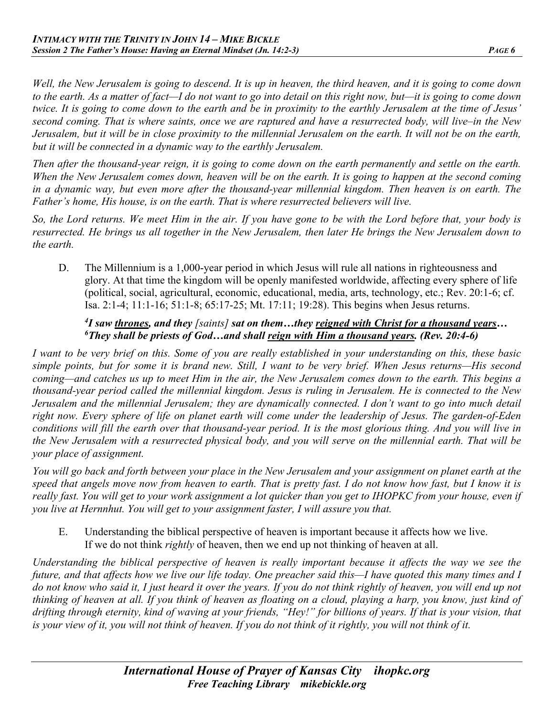*Well, the New Jerusalem is going to descend. It is up in heaven, the third heaven, and it is going to come down to the earth. As a matter of fact—I do not want to go into detail on this right now, but—it is going to come down twice. It is going to come down to the earth and be in proximity to the earthly Jerusalem at the time of Jesus' second coming. That is where saints, once we are raptured and have a resurrected body, will live–in the New Jerusalem, but it will be in close proximity to the millennial Jerusalem on the earth. It will not be on the earth, but it will be connected in a dynamic way to the earthly Jerusalem.* 

*Then after the thousand-year reign, it is going to come down on the earth permanently and settle on the earth. When the New Jerusalem comes down, heaven will be on the earth. It is going to happen at the second coming in a dynamic way, but even more after the thousand-year millennial kingdom. Then heaven is on earth. The Father's home, His house, is on the earth. That is where resurrected believers will live.* 

*So, the Lord returns. We meet Him in the air. If you have gone to be with the Lord before that, your body is resurrected. He brings us all together in the New Jerusalem, then later He brings the New Jerusalem down to the earth.*

D. The Millennium is a 1,000-year period in which Jesus will rule all nations in righteousness and glory. At that time the kingdom will be openly manifested worldwide, affecting every sphere of life (political, social, agricultural, economic, educational, media, arts, technology, etc.; Rev. 20:1-6; cf. Isa. 2:1-4; 11:1-16; 51:1-8; 65:17-25; Mt. 17:11; 19:28). This begins when Jesus returns.

#### *4 I saw thrones, and they [saints] sat on them…they reigned with Christ for a thousand years… 6 They shall be priests of God…and shall reign with Him a thousand years. (Rev. 20:4-6)*

*I want to be very brief on this. Some of you are really established in your understanding on this, these basic simple points, but for some it is brand new. Still, I want to be very brief. When Jesus returns—His second coming—and catches us up to meet Him in the air, the New Jerusalem comes down to the earth. This begins a thousand-year period called the millennial kingdom. Jesus is ruling in Jerusalem. He is connected to the New Jerusalem and the millennial Jerusalem; they are dynamically connected. I don't want to go into much detail right now. Every sphere of life on planet earth will come under the leadership of Jesus. The garden-of-Eden conditions will fill the earth over that thousand-year period. It is the most glorious thing. And you will live in the New Jerusalem with a resurrected physical body, and you will serve on the millennial earth. That will be your place of assignment.*

*You will go back and forth between your place in the New Jerusalem and your assignment on planet earth at the speed that angels move now from heaven to earth. That is pretty fast. I do not know how fast, but I know it is*  really fast. You will get to your work assignment a lot quicker than you get to IHOPKC from your house, even if *you live at Hernnhut. You will get to your assignment faster, I will assure you that.*

E. Understanding the biblical perspective of heaven is important because it affects how we live. If we do not think *rightly* of heaven, then we end up not thinking of heaven at all.

*Understanding the biblical perspective of heaven is really important because it affects the way we see the future, and that affects how we live our life today. One preacher said this—I have quoted this many times and I do not know who said it, I just heard it over the years. If you do not think rightly of heaven, you will end up not thinking of heaven at all. If you think of heaven as floating on a cloud, playing a harp, you know, just kind of drifting through eternity, kind of waving at your friends, "Hey!" for billions of years. If that is your vision, that is your view of it, you will not think of heaven. If you do not think of it rightly, you will not think of it.*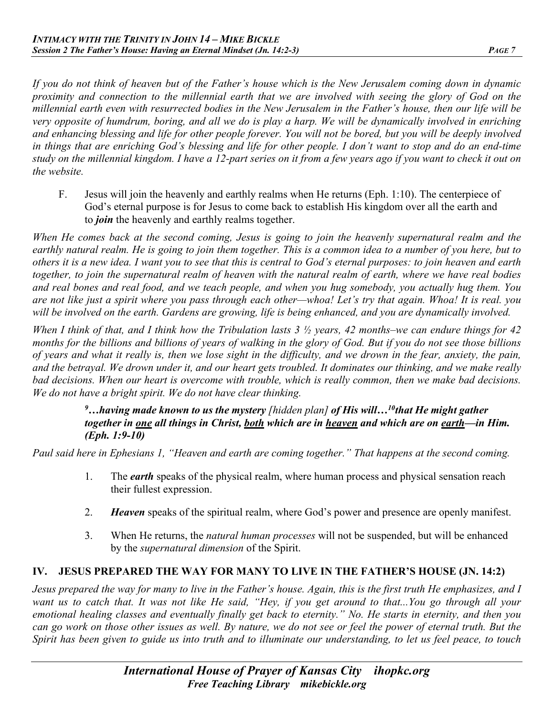*If you do not think of heaven but of the Father's house which is the New Jerusalem coming down in dynamic proximity and connection to the millennial earth that we are involved with seeing the glory of God on the millennial earth even with resurrected bodies in the New Jerusalem in the Father's house, then our life will be very opposite of humdrum, boring, and all we do is play a harp. We will be dynamically involved in enriching and enhancing blessing and life for other people forever. You will not be bored, but you will be deeply involved in things that are enriching God's blessing and life for other people. I don't want to stop and do an end-time study on the millennial kingdom. I have a 12-part series on it from a few years ago if you want to check it out on the website.*

F. Jesus will join the heavenly and earthly realms when He returns (Eph. 1:10). The centerpiece of God's eternal purpose is for Jesus to come back to establish His kingdom over all the earth and to *join* the heavenly and earthly realms together.

*When He comes back at the second coming, Jesus is going to join the heavenly supernatural realm and the earthly natural realm. He is going to join them together. This is a common idea to a number of you here, but to others it is a new idea. I want you to see that this is central to God's eternal purposes: to join heaven and earth together, to join the supernatural realm of heaven with the natural realm of earth, where we have real bodies and real bones and real food, and we teach people, and when you hug somebody, you actually hug them. You are not like just a spirit where you pass through each other—whoa! Let's try that again. Whoa! It is real. you will be involved on the earth. Gardens are growing, life is being enhanced, and you are dynamically involved.* 

*When I think of that, and I think how the Tribulation lasts 3 ½ years, 42 months–we can endure things for 42 months for the billions and billions of years of walking in the glory of God. But if you do not see those billions of years and what it really is, then we lose sight in the difficulty, and we drown in the fear, anxiety, the pain, and the betrayal. We drown under it, and our heart gets troubled. It dominates our thinking, and we make really bad decisions. When our heart is overcome with trouble, which is really common, then we make bad decisions. We do not have a bright spirit. We do not have clear thinking.* 

#### *9 …having made known to us the mystery [hidden plan] of His will…10that He might gather together in one all things in Christ, both which are in heaven and which are on earth—in Him. (Eph. 1:9-10)*

*Paul said here in Ephesians 1, "Heaven and earth are coming together." That happens at the second coming.* 

- 1. The *earth* speaks of the physical realm, where human process and physical sensation reach their fullest expression.
- 2. *Heaven* speaks of the spiritual realm, where God's power and presence are openly manifest.
- 3. When He returns, the *natural human processes* will not be suspended, but will be enhanced by the *supernatural dimension* of the Spirit.

## **IV. JESUS PREPARED THE WAY FOR MANY TO LIVE IN THE FATHER'S HOUSE (JN. 14:2)**

*Jesus prepared the way for many to live in the Father's house. Again, this is the first truth He emphasizes, and I want us to catch that. It was not like He said, "Hey, if you get around to that...You go through all your emotional healing classes and eventually finally get back to eternity." No. He starts in eternity, and then you can go work on those other issues as well. By nature, we do not see or feel the power of eternal truth. But the Spirit has been given to guide us into truth and to illuminate our understanding, to let us feel peace, to touch*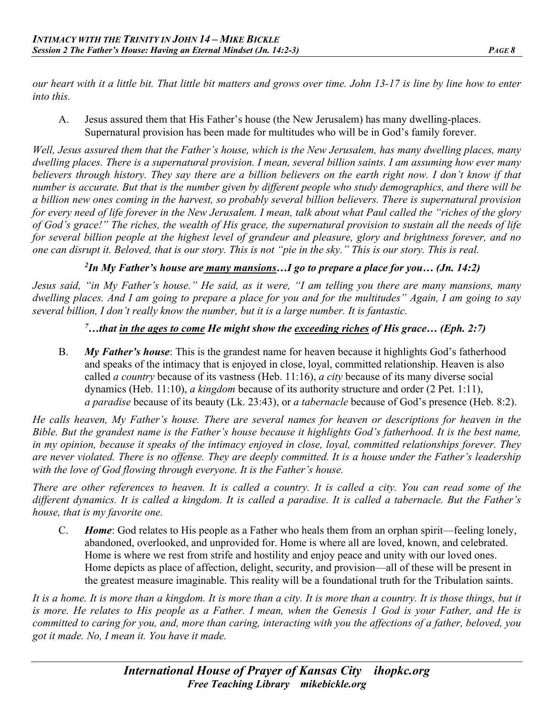*our heart with it a little bit. That little bit matters and grows over time. John 13-17 is line by line how to enter into this.*

A. Jesus assured them that His Father's house (the New Jerusalem) has many dwelling-places. Supernatural provision has been made for multitudes who will be in God's family forever.

*Well, Jesus assured them that the Father's house, which is the New Jerusalem, has many dwelling places, many dwelling places. There is a supernatural provision. I mean, several billion saints. I am assuming how ever many believers through history. They say there are a billion believers on the earth right now. I don't know if that number is accurate. But that is the number given by different people who study demographics, and there will be a billion new ones coming in the harvest, so probably several billion believers. There is supernatural provision for every need of life forever in the New Jerusalem. I mean, talk about what Paul called the "riches of the glory of God's grace!" The riches, the wealth of His grace, the supernatural provision to sustain all the needs of life for several billion people at the highest level of grandeur and pleasure, glory and brightness forever, and no one can disrupt it. Beloved, that is our story. This is not "pie in the sky." This is our story. This is real.*

*2 In My Father's house are many mansions…I go to prepare a place for you… (Jn. 14:2)*

*Jesus said, "in My Father's house." He said, as it were, "I am telling you there are many mansions, many dwelling places. And I am going to prepare a place for you and for the multitudes" Again, I am going to say several billion, I don't really know the number, but it is a large number. It is fantastic.*

## *7 …that in the ages to come He might show the exceeding riches of His grace… (Eph. 2:7)*

B. *My Father's house*: This is the grandest name for heaven because it highlights God's fatherhood and speaks of the intimacy that is enjoyed in close, loyal, committed relationship. Heaven is also called *a country* because of its vastness (Heb. 11:16), *a city* because of its many diverse social dynamics (Heb. 11:10), *a kingdom* because of its authority structure and order (2 Pet. 1:11), *a paradise* because of its beauty (Lk. 23:43), or *a tabernacle* because of God's presence (Heb. 8:2).

*He calls heaven, My Father's house. There are several names for heaven or descriptions for heaven in the Bible. But the grandest name is the Father's house because it highlights God's fatherhood. It is the best name, in my opinion, because it speaks of the intimacy enjoyed in close, loyal, committed relationships forever. They are never violated. There is no offense. They are deeply committed. It is a house under the Father's leadership with the love of God flowing through everyone. It is the Father's house.* 

*There are other references to heaven. It is called a country. It is called a city. You can read some of the different dynamics. It is called a kingdom. It is called a paradise. It is called a tabernacle. But the Father's house, that is my favorite one.*

C. *Home*: God relates to His people as a Father who heals them from an orphan spirit—feeling lonely, abandoned, overlooked, and unprovided for. Home is where all are loved, known, and celebrated. Home is where we rest from strife and hostility and enjoy peace and unity with our loved ones. Home depicts as place of affection, delight, security, and provision—all of these will be present in the greatest measure imaginable. This reality will be a foundational truth for the Tribulation saints.

It is a home. It is more than a kingdom. It is more than a city. It is more than a country. It is those things, but it *is more. He relates to His people as a Father. I mean, when the Genesis 1 God is your Father, and He is committed to caring for you, and, more than caring, interacting with you the affections of a father, beloved, you got it made. No, I mean it. You have it made.*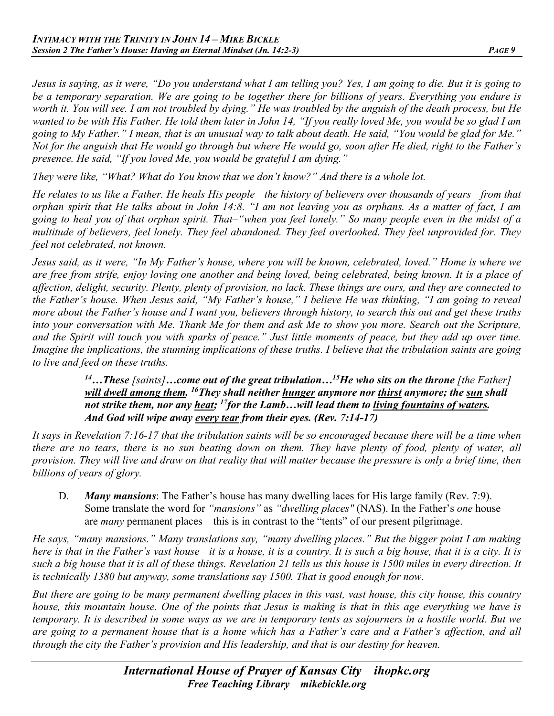*Jesus is saying, as it were, "Do you understand what I am telling you? Yes, I am going to die. But it is going to be a temporary separation. We are going to be together there for billions of years. Everything you endure is worth it. You will see. I am not troubled by dying." He was troubled by the anguish of the death process, but He wanted to be with His Father. He told them later in John 14, "If you really loved Me, you would be so glad I am going to My Father." I mean, that is an unusual way to talk about death. He said, "You would be glad for Me." Not for the anguish that He would go through but where He would go, soon after He died, right to the Father's presence. He said, "If you loved Me, you would be grateful I am dying."* 

*They were like, "What? What do You know that we don't know?" And there is a whole lot.*

*He relates to us like a Father. He heals His people—the history of believers over thousands of years—from that orphan spirit that He talks about in John 14:8. "I am not leaving you as orphans. As a matter of fact, I am going to heal you of that orphan spirit. That–"when you feel lonely." So many people even in the midst of a multitude of believers, feel lonely. They feel abandoned. They feel overlooked. They feel unprovided for. They feel not celebrated, not known.* 

*Jesus said, as it were, "In My Father's house, where you will be known, celebrated, loved." Home is where we are free from strife, enjoy loving one another and being loved, being celebrated, being known. It is a place of affection, delight, security. Plenty, plenty of provision, no lack. These things are ours, and they are connected to the Father's house. When Jesus said, "My Father's house," I believe He was thinking, "I am going to reveal more about the Father's house and I want you, believers through history, to search this out and get these truths into your conversation with Me. Thank Me for them and ask Me to show you more. Search out the Scripture, and the Spirit will touch you with sparks of peace." Just little moments of peace, but they add up over time. Imagine the implications, the stunning implications of these truths. I believe that the tribulation saints are going to live and feed on these truths.* 

> *14…These [saints]…come out of the great tribulation…15He who sits on the throne [the Father] will dwell among them. 16They shall neither hunger anymore nor thirst anymore; the sun shall not strike them, nor any heat; 17for the Lamb…will lead them to living fountains of waters. And God will wipe away every tear from their eyes. (Rev. 7:14-17)*

*It says in Revelation 7:16-17 that the tribulation saints will be so encouraged because there will be a time when there are no tears, there is no sun beating down on them. They have plenty of food, plenty of water, all provision. They will live and draw on that reality that will matter because the pressure is only a brief time, then billions of years of glory.*

D. *Many mansions*: The Father's house has many dwelling laces for His large family (Rev. 7:9). Some translate the word for *"mansions"* as *"dwelling places"* (NAS). In the Father's *one* house are *many* permanent places—this is in contrast to the "tents" of our present pilgrimage.

*He says, "many mansions." Many translations say, "many dwelling places." But the bigger point I am making here is that in the Father's vast house—it is a house, it is a country. It is such a big house, that it is a city. It is such a big house that it is all of these things. Revelation 21 tells us this house is 1500 miles in every direction. It is technically 1380 but anyway, some translations say 1500. That is good enough for now.* 

*But there are going to be many permanent dwelling places in this vast, vast house, this city house, this country house, this mountain house. One of the points that Jesus is making is that in this age everything we have is temporary. It is described in some ways as we are in temporary tents as sojourners in a hostile world. But we are going to a permanent house that is a home which has a Father's care and a Father's affection, and all through the city the Father's provision and His leadership, and that is our destiny for heaven.*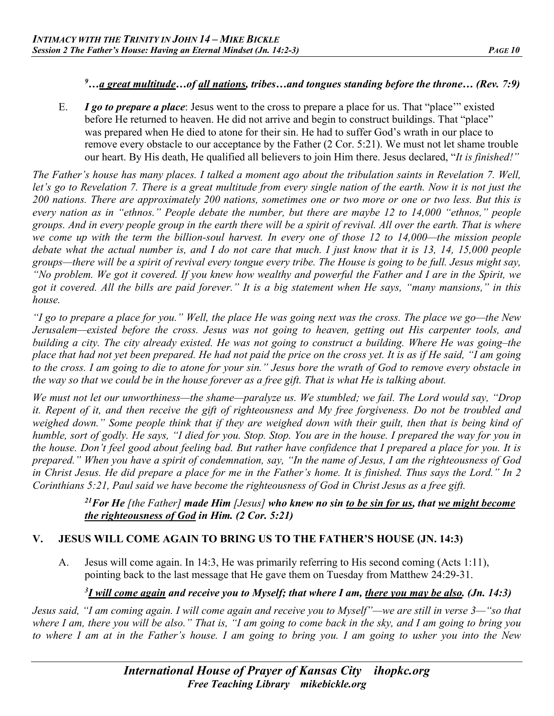## *9 …a great multitude…of all nations, tribes…and tongues standing before the throne… (Rev. 7:9)*

E. *I go to prepare a place*: Jesus went to the cross to prepare a place for us. That "place'" existed before He returned to heaven. He did not arrive and begin to construct buildings. That "place" was prepared when He died to atone for their sin. He had to suffer God's wrath in our place to remove every obstacle to our acceptance by the Father (2 Cor. 5:21). We must not let shame trouble our heart. By His death, He qualified all believers to join Him there. Jesus declared, "*It is finished!"*

*The Father's house has many places. I talked a moment ago about the tribulation saints in Revelation 7. Well,*  let's go to Revelation 7. There is a great multitude from every single nation of the earth. Now it is not just the *200 nations. There are approximately 200 nations, sometimes one or two more or one or two less. But this is every nation as in "ethnos." People debate the number, but there are maybe 12 to 14,000 "ethnos," people groups. And in every people group in the earth there will be a spirit of revival. All over the earth. That is where we come up with the term the billion-soul harvest. In every one of those 12 to 14,000—the mission people debate what the actual number is, and I do not care that much. I just know that it is 13, 14, 15,000 people groups—there will be a spirit of revival every tongue every tribe. The House is going to be full. Jesus might say, "No problem. We got it covered. If you knew how wealthy and powerful the Father and I are in the Spirit, we got it covered. All the bills are paid forever." It is a big statement when He says, "many mansions," in this house.* 

*"I go to prepare a place for you." Well, the place He was going next was the cross. The place we go—the New Jerusalem—existed before the cross. Jesus was not going to heaven, getting out His carpenter tools, and building a city. The city already existed. He was not going to construct a building. Where He was going–the place that had not yet been prepared. He had not paid the price on the cross yet. It is as if He said, "I am going to the cross. I am going to die to atone for your sin." Jesus bore the wrath of God to remove every obstacle in the way so that we could be in the house forever as a free gift. That is what He is talking about.* 

*We must not let our unworthiness—the shame—paralyze us. We stumbled; we fail. The Lord would say, "Drop it. Repent of it, and then receive the gift of righteousness and My free forgiveness. Do not be troubled and weighed down.*" Some people think that if they are weighed down with their guilt, then that is being kind of *humble, sort of godly. He says, "I died for you. Stop. Stop. You are in the house. I prepared the way for you in the house. Don't feel good about feeling bad. But rather have confidence that I prepared a place for you. It is prepared." When you have a spirit of condemnation, say, "In the name of Jesus, I am the righteousness of God in Christ Jesus. He did prepare a place for me in the Father's home. It is finished. Thus says the Lord." In 2 Corinthians 5:21, Paul said we have become the righteousness of God in Christ Jesus as a free gift.*

#### *21For He [the Father] made Him [Jesus] who knew no sin to be sin for us, that we might become the righteousness of God in Him. (2 Cor. 5:21)*

## **V. JESUS WILL COME AGAIN TO BRING US TO THE FATHER'S HOUSE (JN. 14:3)**

A. Jesus will come again. In 14:3, He was primarily referring to His second coming (Acts 1:11), pointing back to the last message that He gave them on Tuesday from Matthew 24:29-31.

## *3 I will come again and receive you to Myself; that where I am, there you may be also. (Jn. 14:3)*

*Jesus said, "I am coming again. I will come again and receive you to Myself"—we are still in verse 3—"so that where I am, there you will be also." That is, "I am going to come back in the sky, and I am going to bring you to where I am at in the Father's house. I am going to bring you. I am going to usher you into the New*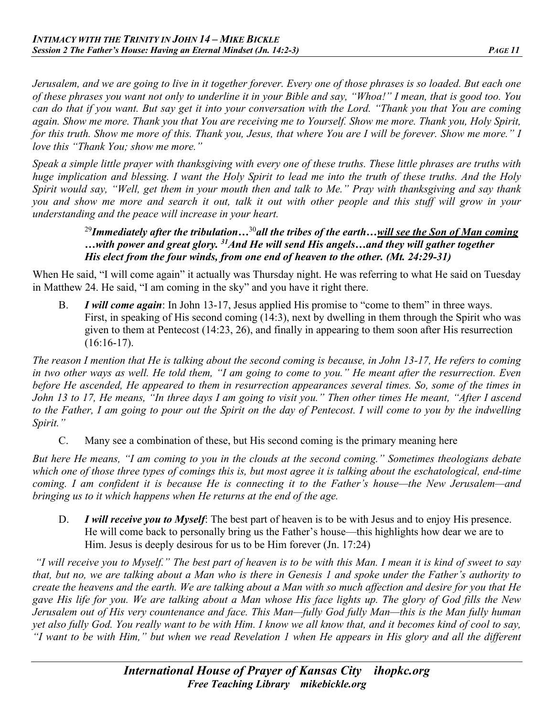*Jerusalem, and we are going to live in it together forever. Every one of those phrases is so loaded. But each one of these phrases you want not only to underline it in your Bible and say, "Whoa!" I mean, that is good too. You can do that if you want. But say get it into your conversation with the Lord. "Thank you that You are coming again. Show me more. Thank you that You are receiving me to Yourself. Show me more. Thank you, Holy Spirit, for this truth. Show me more of this. Thank you, Jesus, that where You are I will be forever. Show me more." I love this "Thank You; show me more."* 

*Speak a simple little prayer with thanksgiving with every one of these truths. These little phrases are truths with huge implication and blessing. I want the Holy Spirit to lead me into the truth of these truths. And the Holy Spirit would say, "Well, get them in your mouth then and talk to Me." Pray with thanksgiving and say thank you and show me more and search it out, talk it out with other people and this stuff will grow in your understanding and the peace will increase in your heart.*

#### <sup>29</sup>*Immediately after the tribulation…*<sup>30</sup>*all the tribes of the earth…will see the Son of Man coming …with power and great glory. 31And He will send His angels…and they will gather together His elect from the four winds, from one end of heaven to the other. (Mt. 24:29-31)*

When He said, "I will come again" it actually was Thursday night. He was referring to what He said on Tuesday in Matthew 24. He said, "I am coming in the sky" and you have it right there.

B. *I will come again*: In John 13-17, Jesus applied His promise to "come to them" in three ways. First, in speaking of His second coming (14:3), next by dwelling in them through the Spirit who was given to them at Pentecost (14:23, 26), and finally in appearing to them soon after His resurrection  $(16:16-17).$ 

*The reason I mention that He is talking about the second coming is because, in John 13-17, He refers to coming in two other ways as well. He told them, "I am going to come to you." He meant after the resurrection. Even before He ascended, He appeared to them in resurrection appearances several times. So, some of the times in John 13 to 17, He means, "In three days I am going to visit you." Then other times He meant, "After I ascend to the Father, I am going to pour out the Spirit on the day of Pentecost. I will come to you by the indwelling Spirit."*

C. Many see a combination of these, but His second coming is the primary meaning here

*But here He means, "I am coming to you in the clouds at the second coming." Sometimes theologians debate which one of those three types of comings this is, but most agree it is talking about the eschatological, end-time coming. I am confident it is because He is connecting it to the Father's house—the New Jerusalem—and bringing us to it which happens when He returns at the end of the age.*

D. *I will receive you to Myself*: The best part of heaven is to be with Jesus and to enjoy His presence. He will come back to personally bring us the Father's house—this highlights how dear we are to Him. Jesus is deeply desirous for us to be Him forever (Jn. 17:24)

*"I will receive you to Myself." The best part of heaven is to be with this Man. I mean it is kind of sweet to say that, but no, we are talking about a Man who is there in Genesis 1 and spoke under the Father's authority to create the heavens and the earth. We are talking about a Man with so much affection and desire for you that He gave His life for you. We are talking about a Man whose His face lights up. The glory of God fills the New Jerusalem out of His very countenance and face. This Man—fully God fully Man—this is the Man fully human yet also fully God. You really want to be with Him. I know we all know that, and it becomes kind of cool to say, "I want to be with Him," but when we read Revelation 1 when He appears in His glory and all the different*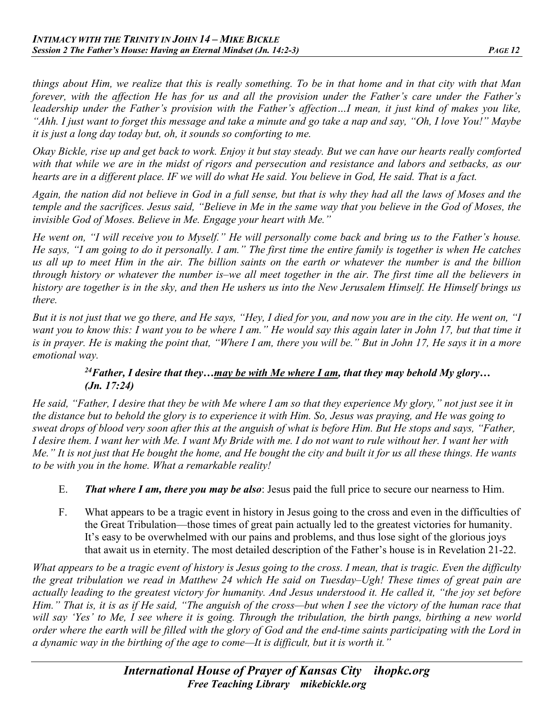*things about Him, we realize that this is really something. To be in that home and in that city with that Man forever, with the affection He has for us and all the provision under the Father's care under the Father's leadership under the Father's provision with the Father's affection…I mean, it just kind of makes you like, "Ahh. I just want to forget this message and take a minute and go take a nap and say, "Oh, I love You!" Maybe it is just a long day today but, oh, it sounds so comforting to me.*

*Okay Bickle, rise up and get back to work. Enjoy it but stay steady. But we can have our hearts really comforted with that while we are in the midst of rigors and persecution and resistance and labors and setbacks, as our hearts are in a different place. IF we will do what He said. You believe in God, He said. That is a fact.* 

*Again, the nation did not believe in God in a full sense, but that is why they had all the laws of Moses and the temple and the sacrifices. Jesus said, "Believe in Me in the same way that you believe in the God of Moses, the invisible God of Moses. Believe in Me. Engage your heart with Me."*

*He went on, "I will receive you to Myself." He will personally come back and bring us to the Father's house. He says, "I am going to do it personally. I am." The first time the entire family is together is when He catches us all up to meet Him in the air. The billion saints on the earth or whatever the number is and the billion through history or whatever the number is–we all meet together in the air. The first time all the believers in history are together is in the sky, and then He ushers us into the New Jerusalem Himself. He Himself brings us there.*

*But it is not just that we go there, and He says, "Hey, I died for you, and now you are in the city. He went on, "I want you to know this: I want you to be where I am." He would say this again later in John 17, but that time it is in prayer. He is making the point that, "Where I am, there you will be." But in John 17, He says it in a more emotional way.* 

## *24Father, I desire that they…may be with Me where I am, that they may behold My glory… (Jn. 17:24)*

*He said, "Father, I desire that they be with Me where I am so that they experience My glory," not just see it in the distance but to behold the glory is to experience it with Him. So, Jesus was praying, and He was going to sweat drops of blood very soon after this at the anguish of what is before Him. But He stops and says, "Father, I desire them. I want her with Me. I want My Bride with me. I do not want to rule without her. I want her with Me." It is not just that He bought the home, and He bought the city and built it for us all these things. He wants to be with you in the home. What a remarkable reality!*

- E. *That where I am, there you may be also*: Jesus paid the full price to secure our nearness to Him.
- F. What appears to be a tragic event in history in Jesus going to the cross and even in the difficulties of the Great Tribulation—those times of great pain actually led to the greatest victories for humanity. It's easy to be overwhelmed with our pains and problems, and thus lose sight of the glorious joys that await us in eternity. The most detailed description of the Father's house is in Revelation 21-22.

*What appears to be a tragic event of history is Jesus going to the cross. I mean, that is tragic. Even the difficulty the great tribulation we read in Matthew 24 which He said on Tuesday–Ugh! These times of great pain are actually leading to the greatest victory for humanity. And Jesus understood it. He called it, "the joy set before Him." That is, it is as if He said, "The anguish of the cross—but when I see the victory of the human race that will say 'Yes' to Me, I see where it is going. Through the tribulation, the birth pangs, birthing a new world order where the earth will be filled with the glory of God and the end-time saints participating with the Lord in a dynamic way in the birthing of the age to come—It is difficult, but it is worth it."*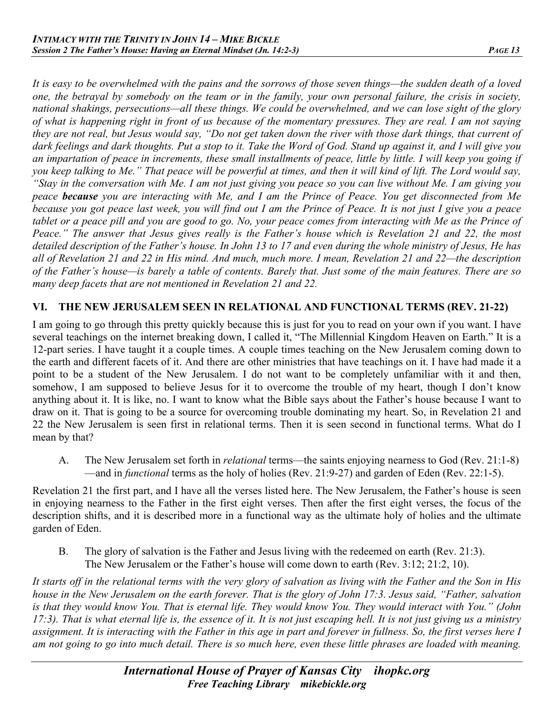*It is easy to be overwhelmed with the pains and the sorrows of those seven things—the sudden death of a loved one, the betrayal by somebody on the team or in the family, your own personal failure, the crisis in society, national shakings, persecutions—all these things. We could be overwhelmed, and we can lose sight of the glory of what is happening right in front of us because of the momentary pressures. They are real. I am not saying they are not real, but Jesus would say, "Do not get taken down the river with those dark things, that current of dark feelings and dark thoughts. Put a stop to it. Take the Word of God. Stand up against it, and I will give you an impartation of peace in increments, these small installments of peace, little by little. I will keep you going if you keep talking to Me." That peace will be powerful at times, and then it will kind of lift. The Lord would say, "Stay in the conversation with Me. I am not just giving you peace so you can live without Me. I am giving you peace because you are interacting with Me, and I am the Prince of Peace. You get disconnected from Me because you got peace last week, you will find out I am the Prince of Peace. It is not just I give you a peace tablet or a peace pill and you are good to go. No, your peace comes from interacting with Me as the Prince of Peace." The answer that Jesus gives really is the Father's house which is Revelation 21 and 22, the most detailed description of the Father's house. In John 13 to 17 and even during the whole ministry of Jesus, He has all of Revelation 21 and 22 in His mind. And much, much more. I mean, Revelation 21 and 22—the description of the Father's house—is barely a table of contents. Barely that. Just some of the main features. There are so many deep facets that are not mentioned in Revelation 21 and 22.*

## **VI. THE NEW JERUSALEM SEEN IN RELATIONAL AND FUNCTIONAL TERMS (REV. 21-22)**

I am going to go through this pretty quickly because this is just for you to read on your own if you want. I have several teachings on the internet breaking down, I called it, "The Millennial Kingdom Heaven on Earth." It is a 12-part series. I have taught it a couple times. A couple times teaching on the New Jerusalem coming down to the earth and different facets of it. And there are other ministries that have teachings on it. I have had made it a point to be a student of the New Jerusalem. I do not want to be completely unfamiliar with it and then, somehow, I am supposed to believe Jesus for it to overcome the trouble of my heart, though I don't know anything about it. It is like, no. I want to know what the Bible says about the Father's house because I want to draw on it. That is going to be a source for overcoming trouble dominating my heart. So, in Revelation 21 and 22 the New Jerusalem is seen first in relational terms. Then it is seen second in functional terms. What do I mean by that?

A. The New Jerusalem set forth in *relational* terms—the saints enjoying nearness to God (Rev. 21:1-8) —and in *functional* terms as the holy of holies (Rev. 21:9-27) and garden of Eden (Rev. 22:1-5).

Revelation 21 the first part, and I have all the verses listed here. The New Jerusalem, the Father's house is seen in enjoying nearness to the Father in the first eight verses. Then after the first eight verses, the focus of the description shifts, and it is described more in a functional way as the ultimate holy of holies and the ultimate garden of Eden.

B. The glory of salvation is the Father and Jesus living with the redeemed on earth (Rev. 21:3). The New Jerusalem or the Father's house will come down to earth (Rev. 3:12; 21:2, 10).

*It starts off in the relational terms with the very glory of salvation as living with the Father and the Son in His house in the New Jerusalem on the earth forever. That is the glory of John 17:3. Jesus said, "Father, salvation is that they would know You. That is eternal life. They would know You. They would interact with You." (John 17:3). That is what eternal life is, the essence of it. It is not just escaping hell. It is not just giving us a ministry assignment. It is interacting with the Father in this age in part and forever in fullness. So, the first verses here I am not going to go into much detail. There is so much here, even these little phrases are loaded with meaning.*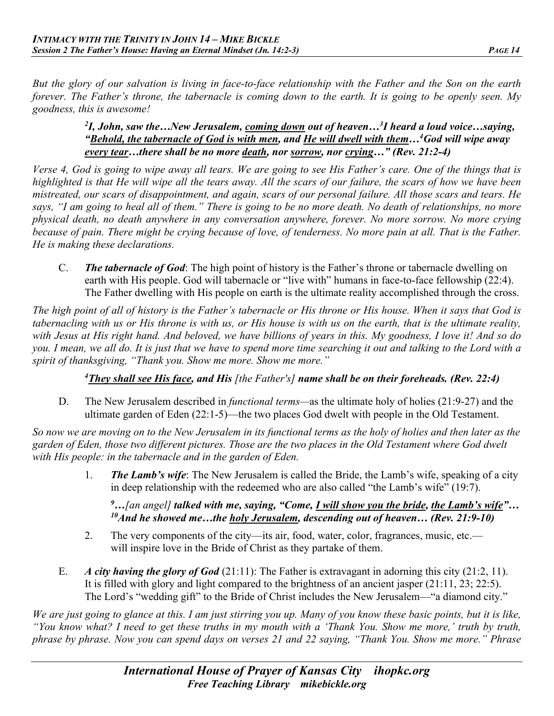*But the glory of our salvation is living in face-to-face relationship with the Father and the Son on the earth forever. The Father's throne, the tabernacle is coming down to the earth. It is going to be openly seen. My goodness, this is awesome!*

> *2 I, John, saw the…New Jerusalem, coming down out of heaven…3 I heard a loud voice…saying, "Behold, the tabernacle of God is with men, and He will dwell with them…4 God will wipe away every tear…there shall be no more death, nor sorrow, nor crying…" (Rev. 21:2-4)*

*Verse 4, God is going to wipe away all tears. We are going to see His Father's care. One of the things that is highlighted is that He will wipe all the tears away. All the scars of our failure, the scars of how we have been mistreated, our scars of disappointment, and again, scars of our personal failure. All those scars and tears. He says, "I am going to heal all of them." There is going to be no more death. No death of relationships, no more physical death, no death anywhere in any conversation anywhere, forever. No more sorrow. No more crying because of pain. There might be crying because of love, of tenderness. No more pain at all. That is the Father. He is making these declarations.*

C. *The tabernacle of God*: The high point of history is the Father's throne or tabernacle dwelling on earth with His people. God will tabernacle or "live with" humans in face-to-face fellowship (22:4). The Father dwelling with His people on earth is the ultimate reality accomplished through the cross.

*The high point of all of history is the Father's tabernacle or His throne or His house. When it says that God is tabernacling with us or His throne is with us, or His house is with us on the earth, that is the ultimate reality, with Jesus at His right hand. And beloved, we have billions of years in this. My goodness, I love it! And so do you. I mean, we all do. It is just that we have to spend more time searching it out and talking to the Lord with a spirit of thanksgiving, "Thank you. Show me more. Show me more."*

*4 They shall see His face, and His [the Father's] name shall be on their foreheads. (Rev. 22:4)* 

D. The New Jerusalem described in *functional terms—*as the ultimate holy of holies (21:9-27) and the ultimate garden of Eden (22:1-5)—the two places God dwelt with people in the Old Testament.

*So now we are moving on to the New Jerusalem in its functional terms as the holy of holies and then later as the garden of Eden, those two different pictures. Those are the two places in the Old Testament where God dwelt with His people: in the tabernacle and in the garden of Eden.* 

> 1. *The Lamb's wife*: The New Jerusalem is called the Bride, the Lamb's wife, speaking of a city in deep relationship with the redeemed who are also called "the Lamb's wife" (19:7).

*9 …[an angel] talked with me, saying, "Come, I will show you the bride, the Lamb's wife"… 10And he showed me…the holy Jerusalem, descending out of heaven… (Rev. 21:9-10)* 

- 2. The very components of the city—its air, food, water, color, fragrances, music, etc. will inspire love in the Bride of Christ as they partake of them.
- E. *A city having the glory of God* (21:11): The Father is extravagant in adorning this city (21:2, 11). It is filled with glory and light compared to the brightness of an ancient jasper (21:11, 23; 22:5). The Lord's "wedding gift" to the Bride of Christ includes the New Jerusalem—"a diamond city."

*We are just going to glance at this. I am just stirring you up. Many of you know these basic points, but it is like, "You know what? I need to get these truths in my mouth with a 'Thank You. Show me more,' truth by truth, phrase by phrase. Now you can spend days on verses 21 and 22 saying, "Thank You. Show me more." Phrase*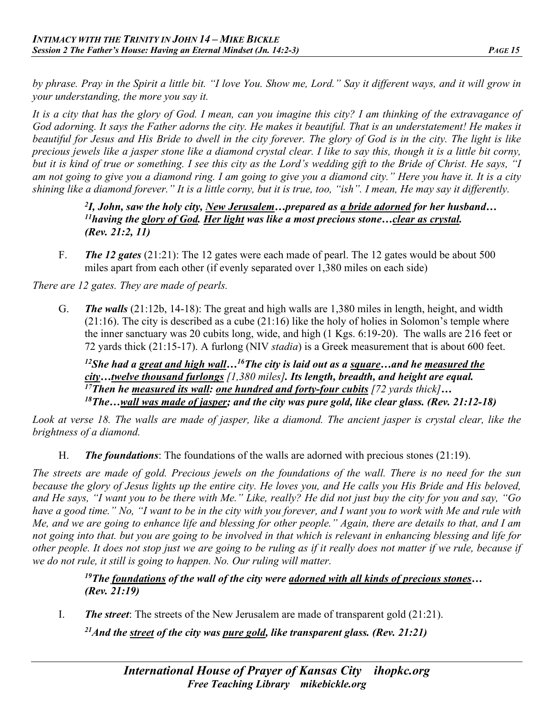*by phrase. Pray in the Spirit a little bit. "I love You. Show me, Lord." Say it different ways, and it will grow in your understanding, the more you say it.*

*It is a city that has the glory of God. I mean, can you imagine this city? I am thinking of the extravagance of God adorning. It says the Father adorns the city. He makes it beautiful. That is an understatement! He makes it beautiful for Jesus and His Bride to dwell in the city forever. The glory of God is in the city. The light is like precious jewels like a jasper stone like a diamond crystal clear. I like to say this, though it is a little bit corny, but it is kind of true or something. I see this city as the Lord's wedding gift to the Bride of Christ. He says, "I am not going to give you a diamond ring. I am going to give you a diamond city." Here you have it. It is a city shining like a diamond forever." It is a little corny, but it is true, too, "ish". I mean, He may say it differently.* 

> *2 I, John, saw the holy city, New Jerusalem…prepared as a bride adorned for her husband… 11having the glory of God. Her light was like a most precious stone…clear as crystal. (Rev. 21:2, 11)*

F. *The 12 gates* (21:21): The 12 gates were each made of pearl. The 12 gates would be about 500 miles apart from each other (if evenly separated over 1,380 miles on each side)

*There are 12 gates. They are made of pearls.*

G. *The walls* (21:12b, 14-18): The great and high walls are 1,380 miles in length, height, and width (21:16). The city is described as a cube (21:16) like the holy of holies in Solomon's temple where the inner sanctuary was 20 cubits long, wide, and high (1 Kgs. 6:19-20). The walls are 216 feet or 72 yards thick (21:15-17). A furlong (NIV *stadia*) is a Greek measurement that is about 600 feet.

*12She had a great and high wall…16The city is laid out as a square…and he measured the city…twelve thousand furlongs [1,380 miles]. Its length, breadth, and height are equal. 17Then he measured its wall: one hundred and forty-four cubits [72 yards thick]… 18The…wall was made of jasper; and the city was pure gold, like clear glass. (Rev. 21:12-18)*

*Look at verse 18. The walls are made of jasper, like a diamond. The ancient jasper is crystal clear, like the brightness of a diamond.* 

H. *The foundations*: The foundations of the walls are adorned with precious stones (21:19).

*The streets are made of gold. Precious jewels on the foundations of the wall. There is no need for the sun because the glory of Jesus lights up the entire city. He loves you, and He calls you His Bride and His beloved, and He says, "I want you to be there with Me." Like, really? He did not just buy the city for you and say, "Go have a good time." No, "I want to be in the city with you forever, and I want you to work with Me and rule with Me, and we are going to enhance life and blessing for other people." Again, there are details to that, and I am not going into that. but you are going to be involved in that which is relevant in enhancing blessing and life for other people. It does not stop just we are going to be ruling as if it really does not matter if we rule, because if we do not rule, it still is going to happen. No. Our ruling will matter.*

> *19The foundations of the wall of the city were adorned with all kinds of precious stones… (Rev. 21:19)*

I. *The street*: The streets of the New Jerusalem are made of transparent gold (21:21).

*21And the street of the city was pure gold, like transparent glass. (Rev. 21:21)*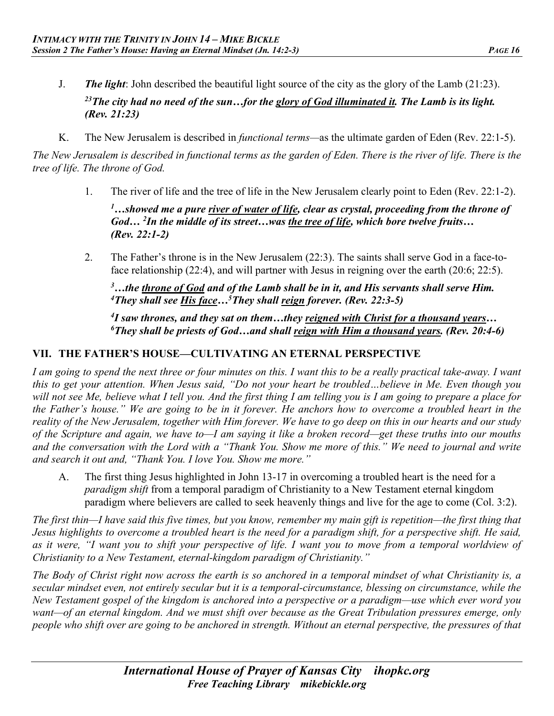- J. *The light*: John described the beautiful light source of the city as the glory of the Lamb (21:23). <sup>23</sup>The city had no need of the sun...for the glory of God illuminated it. The Lamb is its light. *(Rev. 21:23)*
- K. The New Jerusalem is described in *functional terms—*as the ultimate garden of Eden (Rev. 22:1-5).

*The New Jerusalem is described in functional terms as the garden of Eden. There is the river of life. There is the tree of life. The throne of God.*

1. The river of life and the tree of life in the New Jerusalem clearly point to Eden (Rev. 22:1-2).

*1 …showed me a pure river of water of life, clear as crystal, proceeding from the throne of God… 2 In the middle of its street…was the tree of life, which bore twelve fruits… (Rev. 22:1-2)* 

2. The Father's throne is in the New Jerusalem (22:3). The saints shall serve God in a face-toface relationship (22:4), and will partner with Jesus in reigning over the earth (20:6; 22:5).

*3 …the throne of God and of the Lamb shall be in it, and His servants shall serve Him. 4 They shall see His face…5 They shall reign forever. (Rev. 22:3-5)* 

*4 I saw thrones, and they sat on them…they reigned with Christ for a thousand years… 6 They shall be priests of God…and shall reign with Him a thousand years. (Rev. 20:4-6)* 

# **VII. THE FATHER'S HOUSE—CULTIVATING AN ETERNAL PERSPECTIVE**

*I am going to spend the next three or four minutes on this. I want this to be a really practical take-away. I want this to get your attention. When Jesus said, "Do not your heart be troubled…believe in Me. Even though you will not see Me, believe what I tell you. And the first thing I am telling you is I am going to prepare a place for the Father's house." We are going to be in it forever. He anchors how to overcome a troubled heart in the reality of the New Jerusalem, together with Him forever. We have to go deep on this in our hearts and our study of the Scripture and again, we have to—I am saying it like a broken record—get these truths into our mouths and the conversation with the Lord with a "Thank You. Show me more of this." We need to journal and write and search it out and, "Thank You. I love You. Show me more."*

A. The first thing Jesus highlighted in John 13-17 in overcoming a troubled heart is the need for a *paradigm shift* from a temporal paradigm of Christianity to a New Testament eternal kingdom paradigm where believers are called to seek heavenly things and live for the age to come (Col. 3:2).

*The first thin—I have said this five times, but you know, remember my main gift is repetition—the first thing that Jesus highlights to overcome a troubled heart is the need for a paradigm shift, for a perspective shift. He said, as it were, "I want you to shift your perspective of life. I want you to move from a temporal worldview of Christianity to a New Testament, eternal-kingdom paradigm of Christianity."*

*The Body of Christ right now across the earth is so anchored in a temporal mindset of what Christianity is, a secular mindset even, not entirely secular but it is a temporal-circumstance, blessing on circumstance, while the New Testament gospel of the kingdom is anchored into a perspective or a paradigm—use which ever word you want—of an eternal kingdom. And we must shift over because as the Great Tribulation pressures emerge, only people who shift over are going to be anchored in strength. Without an eternal perspective, the pressures of that*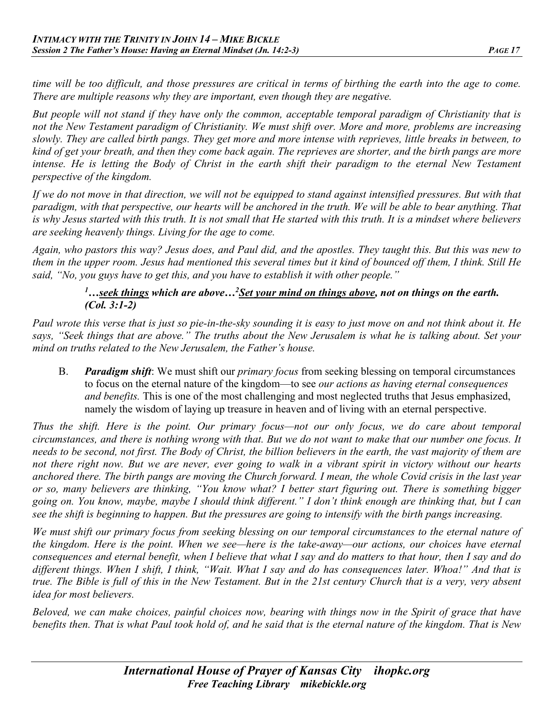*time will be too difficult, and those pressures are critical in terms of birthing the earth into the age to come. There are multiple reasons why they are important, even though they are negative.*

*But people will not stand if they have only the common, acceptable temporal paradigm of Christianity that is not the New Testament paradigm of Christianity. We must shift over. More and more, problems are increasing slowly. They are called birth pangs. They get more and more intense with reprieves, little breaks in between, to kind of get your breath, and then they come back again. The reprieves are shorter, and the birth pangs are more*  intense. He is letting the Body of Christ in the earth shift their paradigm to the eternal New Testament *perspective of the kingdom.*

If we do not move in that direction, we will not be equipped to stand against intensified pressures. But with that *paradigm, with that perspective, our hearts will be anchored in the truth. We will be able to bear anything. That is why Jesus started with this truth. It is not small that He started with this truth. It is a mindset where believers are seeking heavenly things. Living for the age to come.*

*Again, who pastors this way? Jesus does, and Paul did, and the apostles. They taught this. But this was new to them in the upper room. Jesus had mentioned this several times but it kind of bounced off them, I think. Still He said, "No, you guys have to get this, and you have to establish it with other people."* 

## <sup>1</sup>...<u>seek things</u> which are above...<sup>2</sup> <u>Set your mind on things above</u>, not on things on the earth. *(Col. 3:1-2)*

*Paul wrote this verse that is just so pie-in-the-sky sounding it is easy to just move on and not think about it. He says, "Seek things that are above." The truths about the New Jerusalem is what he is talking about. Set your mind on truths related to the New Jerusalem, the Father's house.*

B. *Paradigm shift*: We must shift our *primary focus* from seeking blessing on temporal circumstances to focus on the eternal nature of the kingdom—to see *our actions as having eternal consequences and benefits.* This is one of the most challenging and most neglected truths that Jesus emphasized, namely the wisdom of laying up treasure in heaven and of living with an eternal perspective.

*Thus the shift. Here is the point. Our primary focus—not our only focus, we do care about temporal circumstances, and there is nothing wrong with that. But we do not want to make that our number one focus. It needs to be second, not first. The Body of Christ, the billion believers in the earth, the vast majority of them are not there right now. But we are never, ever going to walk in a vibrant spirit in victory without our hearts anchored there. The birth pangs are moving the Church forward. I mean, the whole Covid crisis in the last year or so, many believers are thinking, "You know what? I better start figuring out. There is something bigger going on. You know, maybe, maybe I should think different." I don't think enough are thinking that, but I can see the shift is beginning to happen. But the pressures are going to intensify with the birth pangs increasing.*

*We must shift our primary focus from seeking blessing on our temporal circumstances to the eternal nature of the kingdom. Here is the point. When we see—here is the take-away—our actions, our choices have eternal consequences and eternal benefit, when I believe that what I say and do matters to that hour, then I say and do different things. When I shift, I think, "Wait. What I say and do has consequences later. Whoa!" And that is true. The Bible is full of this in the New Testament. But in the 21st century Church that is a very, very absent idea for most believers.* 

*Beloved, we can make choices, painful choices now, bearing with things now in the Spirit of grace that have benefits then. That is what Paul took hold of, and he said that is the eternal nature of the kingdom. That is New*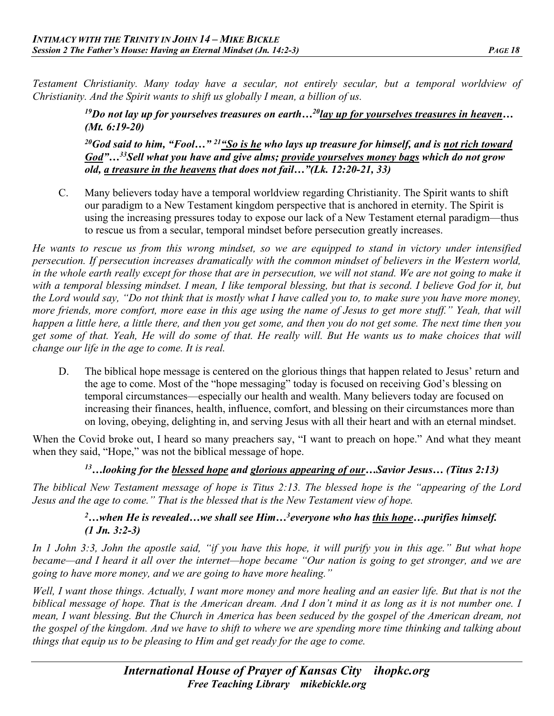*Testament Christianity. Many today have a secular, not entirely secular, but a temporal worldview of Christianity. And the Spirit wants to shift us globally I mean, a billion of us.* 

> <sup>19</sup>Do not lay up for yourselves treasures on earth...<sup>20</sup> <u>lay up for yourselves treasures in heaven</u>... *(Mt. 6:19-20)*

> *20God said to him, "Fool…" 21"So is he who lays up treasure for himself, and is not rich toward God"…33Sell what you have and give alms; provide yourselves money bags which do not grow old, a treasure in the heavens that does not fail…"(Lk. 12:20-21, 33)*

C. Many believers today have a temporal worldview regarding Christianity. The Spirit wants to shift our paradigm to a New Testament kingdom perspective that is anchored in eternity. The Spirit is using the increasing pressures today to expose our lack of a New Testament eternal paradigm—thus to rescue us from a secular, temporal mindset before persecution greatly increases.

*He wants to rescue us from this wrong mindset, so we are equipped to stand in victory under intensified persecution. If persecution increases dramatically with the common mindset of believers in the Western world,*  in the whole earth really except for those that are in persecution, we will not stand. We are not going to make it *with a temporal blessing mindset. I mean, I like temporal blessing, but that is second. I believe God for it, but the Lord would say, "Do not think that is mostly what I have called you to, to make sure you have more money, more friends, more comfort, more ease in this age using the name of Jesus to get more stuff." Yeah, that will happen a little here, a little there, and then you get some, and then you do not get some. The next time then you get some of that. Yeah, He will do some of that. He really will. But He wants us to make choices that will change our life in the age to come. It is real.* 

D. The biblical hope message is centered on the glorious things that happen related to Jesus' return and the age to come. Most of the "hope messaging" today is focused on receiving God's blessing on temporal circumstances—especially our health and wealth. Many believers today are focused on increasing their finances, health, influence, comfort, and blessing on their circumstances more than on loving, obeying, delighting in, and serving Jesus with all their heart and with an eternal mindset.

When the Covid broke out, I heard so many preachers say, "I want to preach on hope." And what they meant when they said, "Hope," was not the biblical message of hope.

*13…looking for the blessed hope and glorious appearing of our…Savior Jesus… (Titus 2:13)* 

*The biblical New Testament message of hope is Titus 2:13. The blessed hope is the "appearing of the Lord Jesus and the age to come." That is the blessed that is the New Testament view of hope.* 

## *2 …when He is revealed…we shall see Him…3 everyone who has this hope…purifies himself. (1 Jn. 3:2-3)*

*In 1 John 3:3, John the apostle said, "if you have this hope, it will purify you in this age." But what hope became—and I heard it all over the internet—hope became "Our nation is going to get stronger, and we are going to have more money, and we are going to have more healing."*

*Well, I want those things. Actually, I want more money and more healing and an easier life. But that is not the biblical message of hope. That is the American dream. And I don't mind it as long as it is not number one. I mean, I want blessing. But the Church in America has been seduced by the gospel of the American dream, not the gospel of the kingdom. And we have to shift to where we are spending more time thinking and talking about things that equip us to be pleasing to Him and get ready for the age to come.*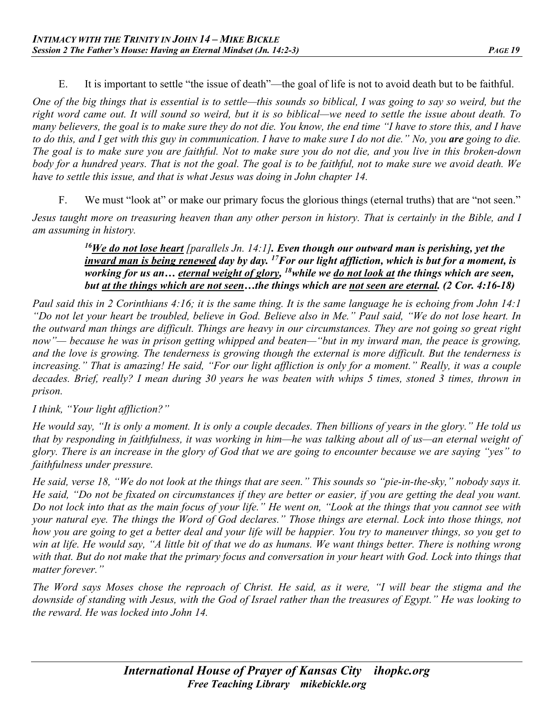E. It is important to settle "the issue of death"—the goal of life is not to avoid death but to be faithful.

*One of the big things that is essential is to settle—this sounds so biblical, I was going to say so weird, but the right word came out. It will sound so weird, but it is so biblical—we need to settle the issue about death. To many believers, the goal is to make sure they do not die. You know, the end time "I have to store this, and I have to do this, and I get with this guy in communication. I have to make sure I do not die." No, you are going to die. The goal is to make sure you are faithful. Not to make sure you do not die, and you live in this broken-down body for a hundred years. That is not the goal. The goal is to be faithful, not to make sure we avoid death. We have to settle this issue, and that is what Jesus was doing in John chapter 14.*

F. We must "look at" or make our primary focus the glorious things (eternal truths) that are "not seen."

*Jesus taught more on treasuring heaven than any other person in history. That is certainly in the Bible, and I am assuming in history.* 

> *16We do not lose heart [parallels Jn. 14:1]. Even though our outward man is perishing, yet the inward man is being renewed day by day. 17For our light affliction, which is but for a moment, is working for us an… eternal weight of glory, 18while we do not look at the things which are seen, but at the things which are not seen...the things which are not seen are eternal. (2 Cor. 4:16-18)*

*Paul said this in 2 Corinthians 4:16; it is the same thing. It is the same language he is echoing from John 14:1 "Do not let your heart be troubled, believe in God. Believe also in Me." Paul said, "We do not lose heart. In the outward man things are difficult. Things are heavy in our circumstances. They are not going so great right now"— because he was in prison getting whipped and beaten—"but in my inward man, the peace is growing, and the love is growing. The tenderness is growing though the external is more difficult. But the tenderness is increasing." That is amazing! He said, "For our light affliction is only for a moment." Really, it was a couple decades. Brief, really? I mean during 30 years he was beaten with whips 5 times, stoned 3 times, thrown in prison.* 

*I think, "Your light affliction?"* 

*He would say, "It is only a moment. It is only a couple decades. Then billions of years in the glory." He told us that by responding in faithfulness, it was working in him—he was talking about all of us—an eternal weight of glory. There is an increase in the glory of God that we are going to encounter because we are saying "yes" to faithfulness under pressure.* 

*He said, verse 18, "We do not look at the things that are seen." This sounds so "pie-in-the-sky," nobody says it. He said, "Do not be fixated on circumstances if they are better or easier, if you are getting the deal you want. Do not lock into that as the main focus of your life." He went on, "Look at the things that you cannot see with your natural eye. The things the Word of God declares." Those things are eternal. Lock into those things, not how you are going to get a better deal and your life will be happier. You try to maneuver things, so you get to*  win at life. He would say, "A little bit of that we do as humans. We want things better. There is nothing wrong with that. But do not make that the primary focus and conversation in your heart with God. Lock into things that *matter forever."*

*The Word says Moses chose the reproach of Christ. He said, as it were, "I will bear the stigma and the downside of standing with Jesus, with the God of Israel rather than the treasures of Egypt." He was looking to the reward. He was locked into John 14.*